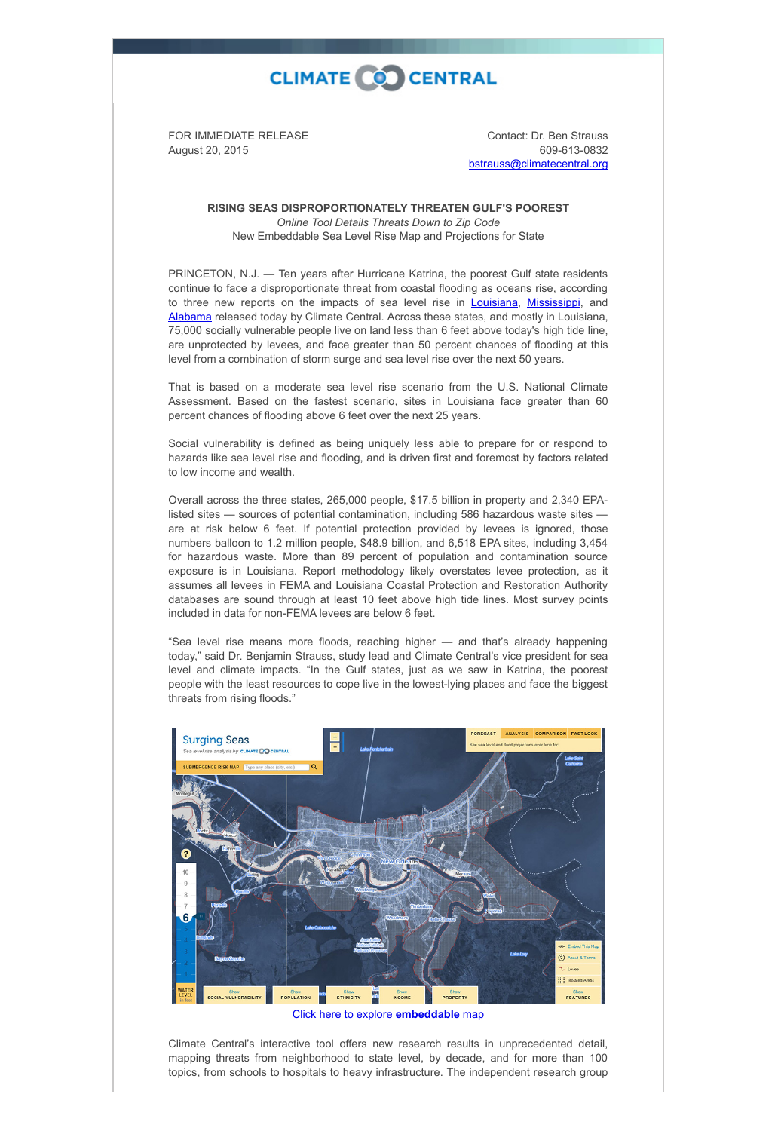## **CLIMATE CO CENTRAL**

FOR IMMEDIATE RELEASE August 20, 2015

Contact: Dr. Ben Strauss 609-613-0832 [bstrauss@climatecentral.org](mailto:bstrauss@climatecentral.org)

**RISING SEAS DISPROPORTIONATELY THREATEN GULF'S POOREST** *Online Tool Details Threats Down to Zip Code* New Embeddable Sea Level Rise Map and Projections for State

PRINCETON, N.J. — Ten years after Hurricane Katrina, the poorest Gulf state residents continue to face a disproportionate threat from coastal flooding as oceans rise, according to three new reports on the impacts of sea level rise in **Louisiana**, [Mississippi,](http://sealevel.climatecentral.org/ssrf/mississippi) and [Alabama](http://sealevel.climatecentral.org/ssrf/alabama) released today by Climate Central. Across these states, and mostly in Louisiana, 75,000 socially vulnerable people live on land less than 6 feet above today's high tide line, are unprotected by levees, and face greater than 50 percent chances of flooding at this level from a combination of storm surge and sea level rise over the next 50 years.

That is based on a moderate sea level rise scenario from the U.S. National Climate Assessment. Based on the fastest scenario, sites in Louisiana face greater than 60 percent chances of flooding above 6 feet over the next 25 years.

Social vulnerability is defined as being uniquely less able to prepare for or respond to hazards like sea level rise and flooding, and is driven first and foremost by factors related to low income and wealth.

Overall across the three states, 265,000 people, \$17.5 billion in property and 2,340 EPAlisted sites — sources of potential contamination, including 586 hazardous waste sites are at risk below 6 feet. If potential protection provided by levees is ignored, those numbers balloon to 1.2 million people, \$48.9 billion, and 6,518 EPA sites, including 3,454 for hazardous waste. More than 89 percent of population and contamination source exposure is in Louisiana. Report methodology likely overstates levee protection, as it assumes all levees in FEMA and Louisiana Coastal Protection and Restoration Authority databases are sound through at least 10 feet above high tide lines. Most survey points included in data for non-FEMA levees are below 6 feet.

"Sea level rise means more floods, reaching higher — and that's already happening today," said Dr. Benjamin Strauss, study lead and Climate Central's vice president for sea level and climate impacts. "In the Gulf states, just as we saw in Katrina, the poorest people with the least resources to cope live in the lowest-lying places and face the biggest threats from rising floods."



## [Click here to explore](http://ss2.climatecentral.org/#11/29.9454/-90.0975?show=satellite&level=6&pois=hide) **embeddable** map

Climate Central's interactive tool offers new research results in unprecedented detail, mapping threats from neighborhood to state level, by decade, and for more than 100 topics, from schools to hospitals to heavy infrastructure. The independent research group